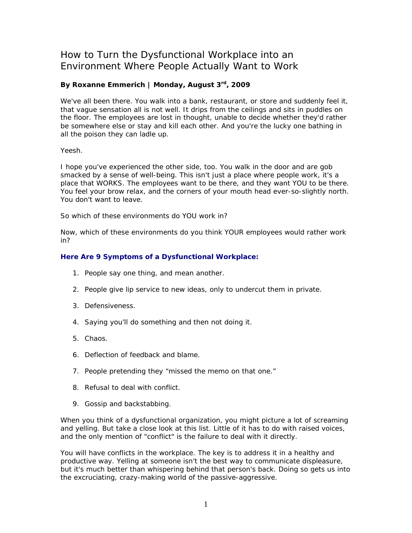# How to Turn the Dysfunctional Workplace into an Environment Where People Actually Want to Work

## **By Roxanne Emmerich | Monday, August 3rd, 2009**

We've all been there. You walk into a bank, restaurant, or store and suddenly feel it, that vague sensation all is not well. It drips from the ceilings and sits in puddles on the floor. The employees are lost in thought, unable to decide whether they'd rather be somewhere else or stay and kill each other. And you're the lucky one bathing in all the poison they can ladle up.

#### *Yeesh*.

I hope you've experienced the other side, too. You walk in the door and are gob smacked by a sense of well-being. This isn't just a place where people work, it's a place that WORKS. The employees want to be there, and they want YOU to be there. You feel your brow relax, and the corners of your mouth head ever-so-slightly north. You don't want to leave.

So which of these environments do YOU work in?

Now, which of these environments do you think YOUR employees would rather work in?

### **Here Are 9 Symptoms of a Dysfunctional Workplace:**

- 1. People say one thing, and mean another.
- 2. People give lip service to new ideas, only to undercut them in private.
- 3. Defensiveness.
- 4. Saying you'll do something and then not doing it.
- 5. Chaos.
- 6. Deflection of feedback and blame.
- 7. People pretending they "missed the memo on that one."
- 8. Refusal to deal with conflict.
- 9. Gossip and backstabbing.

When you think of a dysfunctional organization, you might picture a lot of screaming and yelling. But take a close look at this list. Little of it has to do with raised voices, and the only mention of "conflict" is the failure to deal with it directly.

You will have conflicts in the workplace. The key is to address it in a healthy and productive way. Yelling at someone isn't the best way to communicate displeasure, but it's much better than whispering behind that person's back. Doing so gets us into the excruciating, crazy-making world of the passive-aggressive.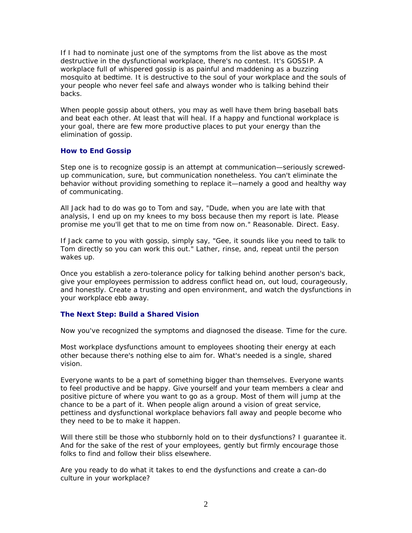If I had to nominate just one of the symptoms from the list above as the most destructive in the dysfunctional workplace, there's no contest. It's GOSSIP. A workplace full of whispered gossip is as painful and maddening as a buzzing mosquito at bedtime. It is destructive to the soul of your workplace and the souls of your people who never feel safe and always wonder who is talking behind their backs.

When people gossip about others, you may as well have them bring baseball bats and beat each other. At least that will heal. If a happy and functional workplace is your goal, there are few more productive places to put your energy than the elimination of gossip.

### **How to End Gossip**

Step one is to recognize gossip is an attempt at communication—seriously screwedup communication, sure, but communication nonetheless. You can't eliminate the behavior without providing something to replace it—namely a good and healthy way of communicating.

All Jack had to do was go to Tom and say, "Dude, when you are late with that analysis, I end up on my knees to my boss because then my report is late. Please promise me you'll get that to me on time from now on." Reasonable. Direct. Easy.

If Jack came to you with gossip, simply say, "Gee, it sounds like you need to talk to Tom directly so you can work this out." Lather, rinse, and, repeat until the person wakes up.

Once you establish a zero-tolerance policy for talking behind another person's back, give your employees permission to address conflict head on, out loud, courageously, and honestly. Create a trusting and open environment, and watch the dysfunctions in your workplace ebb away.

### **The Next Step: Build a Shared Vision**

Now you've recognized the symptoms and diagnosed the disease. Time for the cure.

Most workplace dysfunctions amount to employees shooting their energy at each other because there's nothing else to aim for. What's needed is a single, shared vision.

Everyone wants to be a part of something bigger than themselves. Everyone wants to feel productive and be happy. Give yourself and your team members a clear and positive picture of where you want to go as a group. Most of them will jump at the chance to be a part of it. When people align around a vision of great service, pettiness and dysfunctional workplace behaviors fall away and people become who they need to be to make it happen.

Will there still be those who stubbornly hold on to their dysfunctions? I quarantee it. And for the sake of the rest of your employees, gently but firmly encourage those folks to find and follow their bliss elsewhere.

Are you ready to do what it takes to end the dysfunctions and create a can-do culture in your workplace?